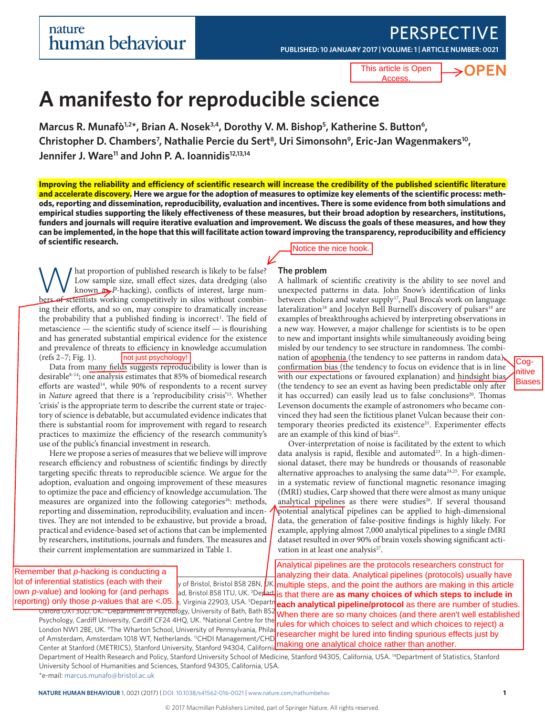# **PERSPECTIVE**

**PUBLISHED: 10 JANUARY 2017 | VOLUME: 1 |[ARTICLE NUMBER: 0021](http://dx.doi.org/10.1038/s41562-016-0021)**

This article is Open **Access** 

# ⇒OPFN

# **A manifesto for reproducible science**

Marcus R. Munafò<sup>1,2\*</sup>, Brian A. Nosek<sup>3,4</sup>, Dorothy V. M. Bishop<sup>5</sup>, Katherine S. Button<sup>6</sup>, Christopher D. Chambers<sup>7</sup>, Nathalie Percie du Sert<sup>8</sup>, Uri Simonsohn<sup>9</sup>, Eric-Jan Wagenmakers<sup>10</sup>, Jennifer J. Ware<sup>11</sup> and John P. A. Ioannidis<sup>12,13,14</sup>

**Improving the reliability and efficiency of scientific research will increase the credibility of the published scientific literature and accelerate discovery. Here we argue for the adoption of measures to optimize key elements of the scientific process: methods, reporting and dissemination, reproducibility, evaluation and incentives. There is some evidence from both simulations and empirical studies supporting the likely effectiveness of these measures, but their broad adoption by researchers, institutions, funders and journals will require iterative evaluation and improvement. We discuss the goals of these measures, and how they can be implemented, in the hope that this will facilitate action toward improving the transparency, reproducibility and efficiency of scientific research.**

What proportion of published research is likely to be false?<br>Low sample size, small effect sizes, data dredging (also<br>known  $\sum P$ -hacking), conflicts of interest, large num-<br>here extending compatitively in siles without co Low sample size, small effect sizes, data dredging (also known  $\rightarrow P$ -hacking), conflicts of interest, large numbers of scientists working competitively in silos without combining their efforts, and so on, may conspire to dramatically increase the probability that a published finding is incorrect<sup>1</sup>. The field of metascience — the scientific study of science itself — is flourishing and has generated substantial empirical evidence for the existence and prevalence of threats to efficiency in knowledge accumulation (refs  $2-7$ ; Fig. 1). (refs 2–7; Fig. 1).

Data from many fields suggests reproducibility is lower than is desirable<sup>8-14</sup>; one analysis estimates that 85% of biomedical research efforts are wasted<sup>14</sup>, while 90% of respondents to a recent survey in *Nature* agreed that there is a 'reproducibility crisis'15. Whether 'crisis' is the appropriate term to describe the current state or trajectory of science is debatable, but accumulated evidence indicates that there is substantial room for improvement with regard to research practices to maximize the efficiency of the research community's use of the public's financial investment in research.

Here we propose a series of measures that we believe will improve research efficiency and robustness of scientific findings by directly targeting specific threats to reproducible science. We argue for the adoption, evaluation and ongoing improvement of these measures to optimize the pace and efficiency of knowledge accumulation. The measures are organized into the following categories<sup>16</sup>: methods, reporting and dissemination, reproducibility, evaluation and incentives. They are not intended to be exhaustive, but provide a broad, practical and evidence-based set of actions that can be implemented by researchers, institutions, journals and funders. The measures and their current implementation are summarized in Table 1. (refs 2–7; Fig. 1). **Inct just psychology!**<br>
Data from many fields suggests reproducted in the sumply of responding the samples in Nature agreed that there is a 'reproduction' in Nature agreed that there is a 'reproductio

Notice the nice hook.

### **The problem**

A hallmark of scientific creativity is the ability to see novel and unexpected patterns in data. John Snow's identification of links between cholera and water supply<sup>17</sup>, Paul Broca's work on language lateralization<sup>18</sup> and Jocelyn Bell Burnell's discovery of pulsars<sup>19</sup> are examples of breakthroughs achieved by interpreting observations in a new way. However, a major challenge for scientists is to be open to new and important insights while simultaneously avoiding being misled by our tendency to see structure in randomness. The combination of apophenia (the tendency to see patterns in random data), confirmation bias (the tendency to focus on evidence that is in line with our expectations or favoured explanation) and hindsight bias. (the tendency to see an event as having been predictable only after it has occurred) can easily lead us to false conclusions<sup>20</sup>. Thomas Levenson documents the example of astronomers who became convinced they had seen the fictitious planet Vulcan because their contemporary theories predicted its existence<sup>21</sup>. Experimenter effects are an example of this kind of bias<sup>22</sup>.

Over-interpretation of noise is facilitated by the extent to which data analysis is rapid, flexible and automated<sup>23</sup>. In a high-dimensional dataset, there may be hundreds or thousands of reasonable alternative approaches to analysing the same data $24,25$ . For example, in a systematic review of functional magnetic resonance imaging (fMRI) studies, Carp showed that there were almost as many unique analytical pipelines as there were studies<sup>26</sup>. If several thousand potential analytical pipelines can be applied to high-dimensional data, the generation of false-positive findings is highly likely. For example, applying almost 7,000 analytical pipelines to a single fMRI dataset resulted in over 90% of brain voxels showing significant activation in at least one analysis<sup>27</sup>.

|                                                                                         | Analytical pipelines are the protocols researchers construct for                                                                                                                                                               |
|-----------------------------------------------------------------------------------------|--------------------------------------------------------------------------------------------------------------------------------------------------------------------------------------------------------------------------------|
| Remember that p-hacking is conducting a                                                 | analyzing their data. Analytical pipelines (protocols) usually have                                                                                                                                                            |
| lot of inferential statistics (each with their                                          | y of Bristol, Bristol BS8 2BN, $\mu$ K   multiple steps, and the point the authors are making in this article                                                                                                                  |
| own p-value) and looking for (and perhaps                                               | ad, Bristol BS8 1TU, UK. <sup>3</sup> Depart is that there are as many choices of which steps to include in                                                                                                                    |
|                                                                                         | reporting) only those p-values that are <.05. b, Virginia 22903, USA. <sup>5</sup> Departner analytical pipeline/protocol as there are number of studies.                                                                      |
|                                                                                         | UXTORO UNITY ON THE READ ISLAM ON THE READ ISLAM TO THE READ ISLAM DELETION OF DETAILS OF ONLY A POST ON THE SOLUTION OF THE SOLUTION OF THE SOLUTION OF THE SOLUTION OF THE STADISHED                                         |
|                                                                                         | Psychology, Cardiff University, Cardiff CF24 4HQ, UK. <sup>8</sup> National Centre for the rules for which choices to select and which choices to reject) a                                                                    |
| London NW1 2BE, UK. <sup>9</sup> The Wharton School, University of Pennsylvania, Philad |                                                                                                                                                                                                                                |
|                                                                                         | expansion of the contract of the contract of the contract of the contract of the contract of the contract of the contract of the contract of the contract of the contract of the contract of the contract of the contract of t |

Center at Stanford (METRICS), Stanford University, Stanford 94304, California, Making one analytical choice rather than another. Department of Health Research and Policy, Stanford University School of Medicine, Stanford 94305, California, USA. 14Department of Statistics, Stanford University School of Humanities and Sciences, Stanford 94305, California, USA. \*e-mail: marcus.munafo@bristol.ac.uk

of Amsterdam, Amsterdam 1018 WT, Netherlands. <sup>11</sup>CHDI Management/CHD**I** Foundation, Innovation, New York 10001, New York 10001, New York 10001, USA. 12Meta-Research Indiana Innovation, New York 10001, USA. 12Meta-Research

**NATURE HUMAN BEHAVIOUR** 1, 0021 (2017) | [DOI: 10.1038/s41562-016-0021](http://dx.doi.org/10.1038/s41562-016-0021) | www.nature.com/nathumbehav **1** 

Cognitive **Biases**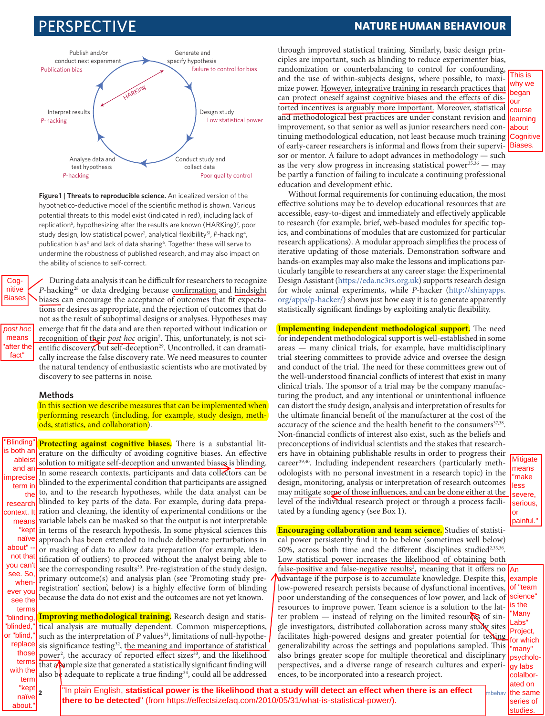

**Figure 1 | Threats to reproducible science.** An idealized version of the hypothetico-deductive model of the scientific method is shown. Various potential threats to this model exist (indicated in red), including lack of replication<sup>5</sup>, hypothesizing after the results are known (HARKing)<sup>7</sup>, poor study design, low statistical power<sup>2</sup>, analytical flexibility<sup>51</sup>, P-hacking<sup>4</sup>, publication bias<sup>3</sup> and lack of data sharing<sup>6</sup>. Together these will serve to undermine the robustness of published research, and may also impact on the ability of science to self-correct.

Cognitive Biases

> post hoc means after the fact"

During data analysis it can be difficult for researchers to recognize *P*-hacking<sup>28</sup> or data dredging because confirmation and hindsight biases can encourage the acceptance of outcomes that fit expectations or desires as appropriate, and the rejection of outcomes that do not as the result of suboptimal designs or analyses. Hypotheses may emerge that fit the data and are then reported without indication or <u>recognition of the</u>ir *post hoc* origin<sup>7</sup>. This, unfortunately, is not scientific discovery, but self-deception<sup>29</sup>. Uncontrolled, it can dramatically increase the false discovery rate. We need measures to counter the natural tendency of enthusiastic scientists who are motivated by discovery to see patterns in noise.

### **Methods**

In this section we describe measures that can be implemented when performing research (including, for example, study design, methods, statistics, and collaboration).

**Protecting against cognitive biases.** There is a substantial literature on the difficulty of avoiding cognitive biases. An effective solution to mitigate self-deception and unwanted biases is blinding. In some research contexts, participants and data collectors can be blinded to the experimental condition that participants are assigned to, and to the research hypotheses, while the data analyst can be blinded to key parts of the data. For example, during data preparation and cleaning, the identity of experimental conditions or the variable labels can be masked so that the output is not interpretable in terms of the research hypothesis. In some physical sciences this approach has been extended to include deliberate perturbations in or masking of data to allow data preparation (for example, identification of outliers) to proceed without the analyst being able to see the corresponding results<sup>30</sup>. Pre-registration of the study design, primary outcome(s) and analysis plan (see 'Promoting study preregistration' section', below) is a highly effective form of blinding "Blinding" is both ar ableis and an nprecis term in the research context. I means "kep naïve about" not tha you can see. So when ever yo

because the data do not exist and the outcomes are not yet known. **Improving methodological training.** Research design and statissee the terms

tical analysis are mutually dependent. Common misperceptions, such as the interpretation of *P* values<sup>31</sup>, limitations of null-hypothesis significance testing<sup>32</sup>, the meaning and importance of statistical power<sup>2</sup>, the accuracy of reported effect sizes<sup>33</sup>, and the likelihood that  $\sqrt{\frac{1}{2}}$  size that generated a statistically significant finding will also be adequate to replicate a true finding<sup>34</sup>, could all be addressed "blinding, "blinded," or "blind," replace those term with the term

## PERSPECTIVE **NATURE HUMAN BEHAVIOUR**

through improved statistical training. Similarly, basic design principles are important, such as blinding to reduce experimenter bias, randomization or counterbalancing to control for confounding, and the use of within-subjects designs, where possible, to maximize power. However, integrative training in research practices that can protect oneself against cognitive biases and the effects of distorted incentives is arguably more important. Moreover, statistical and methodological best practices are under constant revision and improvement, so that senior as well as junior researchers need continuing methodological education, not least because much training Cognitive of early-career researchers is informal and flows from their supervisor or mentor. A failure to adopt advances in methodology — such as the very slow progress in increasing statistical power<sup>35,36</sup> — may be partly a function of failing to inculcate a continuing professional education and development ethic. This is why we began our course learning about Biases.

Without formal requirements for continuing education, the most effective solutions may be to develop educational resources that are accessible, easy-to-digest and immediately and effectively applicable to research (for example, brief, web-based modules for specific topics, and combinations of modules that are customized for particular research applications). A modular approach simplifies the process of iterative updating of those materials. Demonstration software and hands-on examples may also make the lessons and implications particularly tangible to researchers at any career stage: the Experimental Design Assistant (https://eda.nc3rs.org.uk) supports research design for whole animal experiments, while *P*-hacker (http://shinyapps. org/apps/p-hacker/) shows just how easy it is to generate apparently statistically significant findings by exploiting analytic flexibility.

**Implementing independent methodological support.** The need for independent methodological support is well-established in some areas — many clinical trials, for example, have multidisciplinary trial steering committees to provide advice and oversee the design and conduct of the trial. The need for these committees grew out of the well-understood financial conflicts of interest that exist in many clinical trials. The sponsor of a trial may be the company manufacturing the product, and any intentional or unintentional influence can distort the study design, analysis and interpretation of results for the ultimate financial benefit of the manufacturer at the cost of the accuracy of the science and the health benefit to the consumers<sup>37,38</sup>. Non-financial conflicts of interest also exist, such as the beliefs and preconceptions of individual scientists and the stakes that researchers have in obtaining publishable results in order to progress their career<sup>39,40</sup>. Including independent researchers (particularly methodologists with no personal investment in a research topic) in the design, monitoring, analysis or interpretation of research outcomes may mitigate some of those influences, and can be done either at the level of the individual research project or through a process facilitated by a funding agency (see Box 1).

means "make less severe, serious, or painful."

Mitigate

**Encouraging collaboration and team science.** Studies of statistical power persistently find it to be below (sometimes well below) 50%, across both time and the different disciplines studied<sup>2,35,36</sup>. Low statistical power increases the likelihood of obtaining both

false-positive and false-negative results<sup>2</sup>, meaning that it offers no An advantage if the purpose is to accumulate knowledge. Despite this, low-powered research persists because of dysfunctional incentives, poor understanding of the consequences of low power, and lack of resources to improve power. Team science is a solution to the latter problem  $-$  instead of relying on the limited resources of single investigators, distributed collaboration across many study sites facilitates high-powered designs and greater potential for testing generalizability across the settings and populations sampled. This also brings greater scope for multiple theoretical and disciplinary perspectives, and a diverse range of research cultures and experiences, to be incorporated into a research project.

example of "team science" is the "Many Labs" Project, for which "many" psychology labs colalborated on the same series of studies.

<u>i intiininn isaacha ar an t-Intiininn is an t-Intiininn is an t-Intiininn is an t-Intiininn is an t-Intiininn </u>

**2 NATURE HUMAN BEHAVIOUR** 1, 0021 (2017) | DOI: 10.1038/s41562-016-0021 | www.nature.com/nathumbehav "In plain English, **statistical power is the likelihood that a study will dete[ct an effect when ther](http://dx.doi.org/10.1038/s41562-016-0021)e is an effect there to be detected**" (from https://effectsizefaq.com/2010/05/31/what-is-statistical-power/).

 $\left| \begin{array}{c} \text{kept} \\ \text{2} \end{array} \right|$ 

naïve about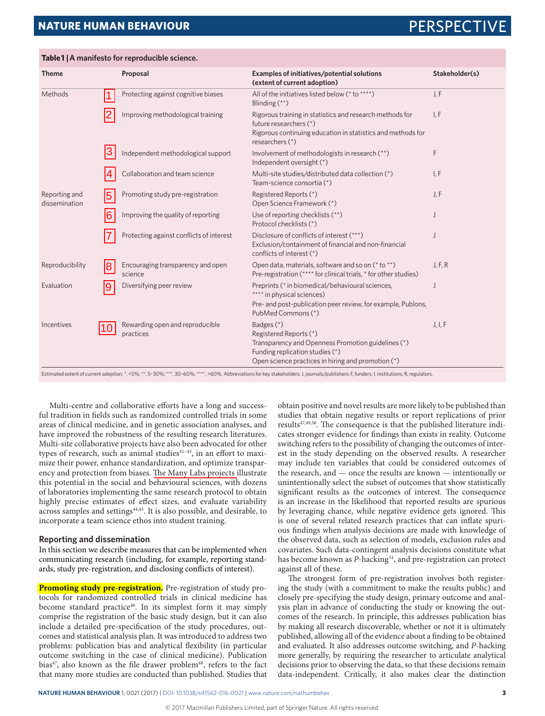# **NATURE HUMAN BEHAVIOUR EXAMPLE SERVICES PERSPECTIVE SERVICES**

| <b>Theme</b>                   |    | Proposal                                     | Examples of initiatives/potential solutions<br>(extent of current adoption)                                                    | Stakeholder(s) |
|--------------------------------|----|----------------------------------------------|--------------------------------------------------------------------------------------------------------------------------------|----------------|
| Methods                        |    | Protecting against cognitive biases          | All of the initiatives listed below (* to ****)<br>Blinding $(**)$                                                             | J, F           |
|                                |    | Improving methodological training            | Rigorous training in statistics and research methods for<br>future researchers (*)                                             | I, F           |
|                                |    |                                              | Rigorous continuing education in statistics and methods for<br>researchers (*)                                                 |                |
|                                | 3  | Independent methodological support           | Involvement of methodologists in research (**)<br>Independent oversight (*)                                                    | F              |
|                                |    | Collaboration and team science               | Multi-site studies/distributed data collection (*)<br>Team-science consortia (*)                                               | I, F           |
| Reporting and<br>dissemination | 15 | Promoting study pre-registration             | Registered Reports (*)<br>Open Science Framework (*)                                                                           | J, F           |
|                                | 16 | Improving the quality of reporting           | Use of reporting checklists (**)<br>Protocol checklists (*)                                                                    | IJ             |
|                                |    | Protecting against conflicts of interest     | Disclosure of conflicts of interest (***)<br>Exclusion/containment of financial and non-financial<br>conflicts of interest (*) |                |
| Reproducibility                | 18 | Encouraging transparency and open<br>science | Open data, materials, software and so on (* to **)<br>Pre-registration (**** for clinical trials, * for other studies)         | J, F, R        |
| Evaluation                     | 19 | Diversifying peer review                     | Preprints (* in biomedical/behavioural sciences,<br>**** in physical sciences)                                                 |                |
|                                |    |                                              | Pre- and post-publication peer review, for example, Publons,<br>PubMed Commons (*)                                             |                |
| Incentives                     | 10 | Rewarding open and reproducible<br>practices | Badges (*)<br>Registered Reports (*)                                                                                           | J, I, F        |
|                                |    |                                              | Transparency and Openness Promotion guidelines (*)<br>Funding replication studies (*)                                          |                |
|                                |    |                                              | Open science practices in hiring and promotion (*)                                                                             |                |

**Table 1 | A manifesto for reproducible science.**

Estimated extent of current adoption: \*, <5%; \*\*, 5-30%; \*\*\*, 30-60%; \*\*\*\*, >60%. Abbreviations for key stakeholders: J, journals/publishers; F, funders; I, institutions; R, regulators

Multi-centre and collaborative efforts have a long and successful tradition in fields such as randomized controlled trials in some areas of clinical medicine, and in genetic association analyses, and have improved the robustness of the resulting research literatures. Multi-site collaborative projects have also been advocated for other types of research, such as animal studies<sup>41-43</sup>, in an effort to maximize their power, enhance standardization, and optimize transparency and protection from biases. The Many Labs projects illustrate this potential in the social and behavioural sciences, with dozens of laboratories implementing the same research protocol to obtain highly precise estimates of effect sizes, and evaluate variability across samples and settings44,45. It is also possible, and desirable, to incorporate a team science ethos into student training.

### **Reporting and dissemination**

In this section we describe measures that can be implemented when communicating research (including, for example, reporting standards, study pre-registration, and disclosing conflicts of interest).

**Promoting study pre-registration.** Pre-registration of study protocols for randomized controlled trials in clinical medicine has become standard practice46. In its simplest form it may simply comprise the registration of the basic study design, but it can also include a detailed pre-specification of the study procedures, outcomes and statistical analysis plan. It was introduced to address two problems: publication bias and analytical flexibility (in particular outcome switching in the case of clinical medicine). Publication bias<sup>47</sup>, also known as the file drawer problem<sup>48</sup>, refers to the fact that many more studies are conducted than published. Studies that obtain positive and novel results are more likely to be published than studies that obtain negative results or report replications of prior results<sup>47,49,50</sup>. The consequence is that the published literature indicates stronger evidence for findings than exists in reality. Outcome switching refers to the possibility of changing the outcomes of interest in the study depending on the observed results. A researcher may include ten variables that could be considered outcomes of the research, and — once the results are known — intentionally or unintentionally select the subset of outcomes that show statistically significant results as the outcomes of interest. The consequence is an increase in the likelihood that reported results are spurious by leveraging chance, while negative evidence gets ignored. This is one of several related research practices that can inflate spurious findings when analysis decisions are made with knowledge of the observed data, such as selection of models, exclusion rules and covariates. Such data-contingent analysis decisions constitute what has become known as *P*-hacking<sup>51</sup>, and pre-registration can protect against all of these.

The strongest form of pre-registration involves both registering the study (with a commitment to make the results public) and closely pre-specifying the study design, primary outcome and analysis plan in advance of conducting the study or knowing the outcomes of the research. In principle, this addresses publication bias by making all research discoverable, whether or not it is ultimately published, allowing all of the evidence about a finding to be obtained and evaluated. It also addresses outcome switching, and *P*-hacking more generally, by requiring the researcher to articulate analytical decisions prior to observing the data, so that these decisions remain data-independent. Critically, it also makes clear the distinction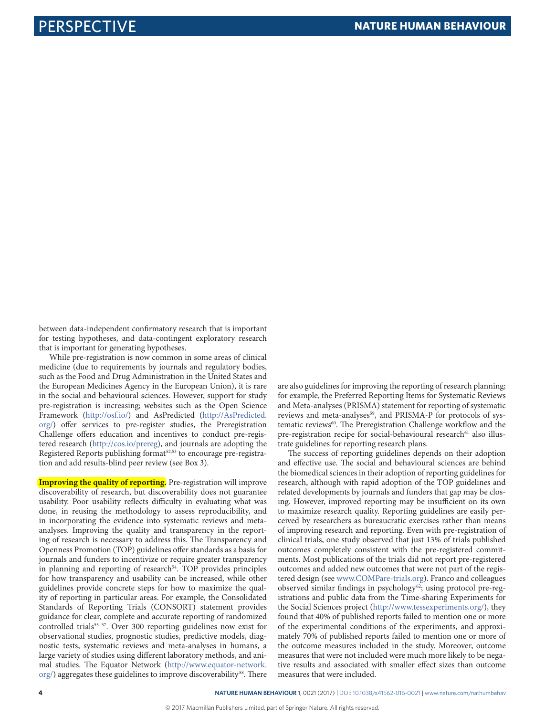between data-independent confirmatory research that is important for testing hypotheses, and data-contingent exploratory research that is important for generating hypotheses.

While pre-registration is now common in some areas of clinical medicine (due to requirements by journals and regulatory bodies, such as the Food and Drug Administration in the United States and the European Medicines Agency in the European Union), it is rare in the social and behavioural sciences. However, support for study pre-registration is increasing; websites such as the Open Science Framework (http://osf.io/) and AsPredicted (http://AsPredicted. org/) offer services to pre-register studies, the Preregistration Challenge offers education and incentives to conduct pre-registered research (http://cos.io/prereg), and journals are adopting the Registered Reports publishing format<sup>52,53</sup> to encourage pre-registration and add results-blind peer review (see Box 3).

**Improving the quality of reporting.** Pre-registration will improve discoverability of research, but discoverability does not guarantee usability. Poor usability reflects difficulty in evaluating what was done, in reusing the methodology to assess reproducibility, and in incorporating the evidence into systematic reviews and metaanalyses. Improving the quality and transparency in the reporting of research is necessary to address this. The Transparency and Openness Promotion (TOP) guidelines offer standards as a basis for journals and funders to incentivize or require greater transparency in planning and reporting of research<sup>54</sup>. TOP provides principles for how transparency and usability can be increased, while other guidelines provide concrete steps for how to maximize the quality of reporting in particular areas. For example, the Consolidated Standards of Reporting Trials (CONSORT) statement provides guidance for clear, complete and accurate reporting of randomized controlled trials<sup>55-57</sup>. Over 300 reporting guidelines now exist for observational studies, prognostic studies, predictive models, diagnostic tests, systematic reviews and meta-analyses in humans, a large variety of studies using different laboratory methods, and animal studies. The Equator Network (http://www.equator-network. org/) aggregates these guidelines to improve discoverability<sup>58</sup>. There

are also guidelines for improving the reporting of research planning; for example, the Preferred Reporting Items for Systematic Reviews and Meta-analyses (PRISMA) statement for reporting of systematic reviews and meta-analyses<sup>59</sup>, and PRISMA-P for protocols of systematic reviews<sup>60</sup>. The Preregistration Challenge workflow and the pre-registration recipe for social-behavioural research<sup>61</sup> also illustrate guidelines for reporting research plans.

The success of reporting guidelines depends on their adoption and effective use. The social and behavioural sciences are behind the biomedical sciences in their adoption of reporting guidelines for research, although with rapid adoption of the TOP guidelines and related developments by journals and funders that gap may be closing. However, improved reporting may be insufficient on its own to maximize research quality. Reporting guidelines are easily perceived by researchers as bureaucratic exercises rather than means of improving research and reporting. Even with pre-registration of clinical trials, one study observed that just 13% of trials published outcomes completely consistent with the pre-registered commitments. Most publications of the trials did not report pre-registered outcomes and added new outcomes that were not part of the registered design (see www.COMPare-trials.org). Franco and colleagues observed similar findings in psychology<sup>62</sup>; using protocol pre-registrations and public data from the Time-sharing Experiments for the Social Sciences project (http://www.tessexperiments.org/), they found that 40% of published reports failed to mention one or more of the experimental conditions of the experiments, and approximately 70% of published reports failed to mention one or more of the outcome measures included in the study. Moreover, outcome measures that were not included were much more likely to be negative results and associated with smaller effect sizes than outcome measures that were included.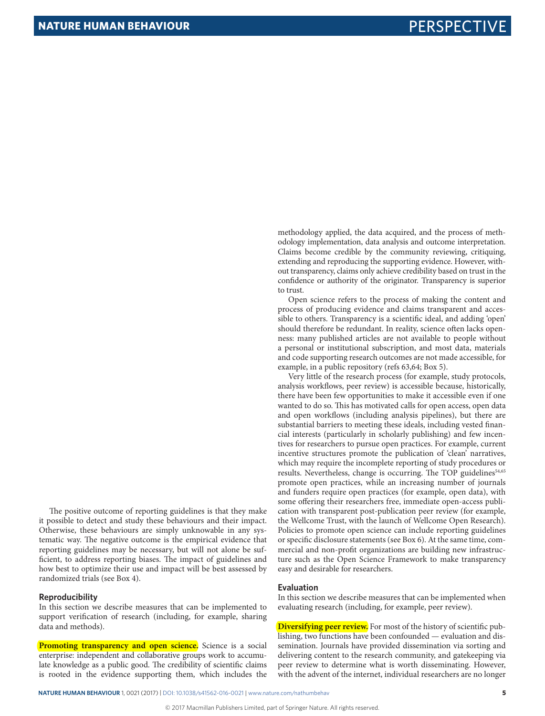methodology applied, the data acquired, and the process of methodology implementation, data analysis and outcome interpretation. Claims become credible by the community reviewing, critiquing, extending and reproducing the supporting evidence. However, without transparency, claims only achieve credibility based on trust in the confidence or authority of the originator. Transparency is superior to trust.

Open science refers to the process of making the content and process of producing evidence and claims transparent and accessible to others. Transparency is a scientific ideal, and adding 'open' should therefore be redundant. In reality, science often lacks openness: many published articles are not available to people without a personal or institutional subscription, and most data, materials and code supporting research outcomes are not made accessible, for example, in a public repository (refs 63,64; Box 5).

Very little of the research process (for example, study protocols, analysis workflows, peer review) is accessible because, historically, there have been few opportunities to make it accessible even if one wanted to do so. This has motivated calls for open access, open data and open workflows (including analysis pipelines), but there are substantial barriers to meeting these ideals, including vested financial interests (particularly in scholarly publishing) and few incentives for researchers to pursue open practices. For example, current incentive structures promote the publication of 'clean' narratives, which may require the incomplete reporting of study procedures or results. Nevertheless, change is occurring. The TOP guidelines<sup>54,65</sup> promote open practices, while an increasing number of journals and funders require open practices (for example, open data), with some offering their researchers free, immediate open-access publication with transparent post-publication peer review (for example, the Wellcome Trust, with the launch of Wellcome Open Research). Policies to promote open science can include reporting guidelines or specific disclosure statements (see Box 6). At the same time, commercial and non-profit organizations are building new infrastructure such as the Open Science Framework to make transparency easy and desirable for researchers.

#### **Evaluation**

In this section we describe measures that can be implemented when evaluating research (including, for example, peer review).

**Diversifying peer review.** For most of the history of scientific publishing, two functions have been confounded — evaluation and dissemination. Journals have provided dissemination via sorting and delivering content to the research community, and gatekeeping via peer review to determine what is worth disseminating. However, with the advent of the internet, individual researchers are no longer

The positive outcome of reporting guidelines is that they make it possible to detect and study these behaviours and their impact. Otherwise, these behaviours are simply unknowable in any systematic way. The negative outcome is the empirical evidence that reporting guidelines may be necessary, but will not alone be sufficient, to address reporting biases. The impact of guidelines and how best to optimize their use and impact will be best assessed by randomized trials (see Box 4).

### **Reproducibility**

In this section we describe measures that can be implemented to support verification of research (including, for example, sharing data and methods).

**Promoting transparency and open science.** Science is a social enterprise: independent and collaborative groups work to accumulate knowledge as a public good. The credibility of scientific claims is rooted in the evidence supporting them, which includes the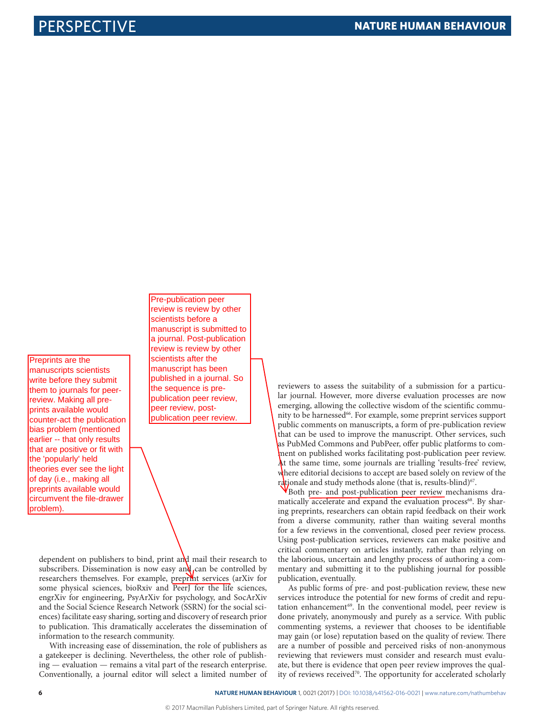Preprints are the manuscripts scientists write before they submit them to journals for peerreview. Making all preprints available would counter-act the publication bias problem (mentioned earlier -- that only results that are positive or fit with the 'popularly' held theories ever see the light of day (i.e., making all preprints available would circumvent the file-drawer problem).

Pre-publication peer review is review by other scientists before a manuscript is submitted to a journal. Post-publication review is review by other scientists after the manuscript has been published in a journal. So the sequence is prepublication peer review, peer review, postpublication peer review.

dependent on publishers to bind, print and mail their research to subscribers. Dissemination is now easy and can be controlled by researchers themselves. For example, preprint services (arXiv for some physical sciences, bioRxiv and PeerJ for the life sciences, engrXiv for engineering, PsyArXiv for psychology, and SocArXiv and the Social Science Research Network (SSRN) for the social sciences) facilitate easy sharing, sorting and discovery of research prior to publication. This dramatically accelerates the dissemination of information to the research community.

With increasing ease of dissemination, the role of publishers as a gatekeeper is declining. Nevertheless, the other role of publishing — evaluation — remains a vital part of the research enterprise. Conventionally, a journal editor will select a limited number of reviewers to assess the suitability of a submission for a particular journal. However, more diverse evaluation processes are now emerging, allowing the collective wisdom of the scientific community to be harnessed<sup>66</sup>. For example, some preprint services support public comments on manuscripts, a form of pre-publication review that can be used to improve the manuscript. Other services, such as PubMed Commons and PubPeer, offer public platforms to comment on published works facilitating post-publication peer review. At the same time, some journals are trialling 'results-free' review, where editorial decisions to accept are based solely on review of the rationale and study methods alone (that is, results-blind)<sup>67</sup>.

Both pre- and post-publication peer review mechanisms dramatically accelerate and expand the evaluation process<sup>68</sup>. By sharing preprints, researchers can obtain rapid feedback on their work from a diverse community, rather than waiting several months for a few reviews in the conventional, closed peer review process. Using post-publication services, reviewers can make positive and critical commentary on articles instantly, rather than relying on the laborious, uncertain and lengthy process of authoring a commentary and submitting it to the publishing journal for possible publication, eventually.

As public forms of pre- and post-publication review, these new services introduce the potential for new forms of credit and reputation enhancement<sup>69</sup>. In the conventional model, peer review is done privately, anonymously and purely as a service. With public commenting systems, a reviewer that chooses to be identifiable may gain (or lose) reputation based on the quality of review. There are a number of possible and perceived risks of non-anonymous reviewing that reviewers must consider and research must evaluate, but there is evidence that open peer review improves the quality of reviews received<sup>70</sup>. The opportunity for accelerated scholarly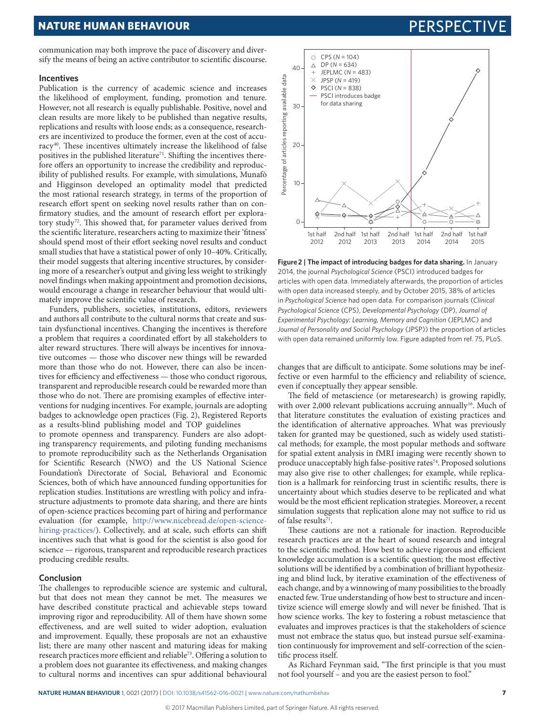# **NATURE HUMAN BEHAVIOUR EXAMPLE SERVICES PERSPECTIVE SERVICES**

communication may both improve the pace of discovery and diversify the means of being an active contributor to scientific discourse.

#### **Incentives**

Publication is the currency of academic science and increases the likelihood of employment, funding, promotion and tenure. However, not all research is equally publishable. Positive, novel and clean results are more likely to be published than negative results, replications and results with loose ends; as a consequence, researchers are incentivized to produce the former, even at the cost of accuracy40. These incentives ultimately increase the likelihood of false positives in the published literature<sup>71</sup>. Shifting the incentives therefore offers an opportunity to increase the credibility and reproducibility of published results. For example, with simulations, Munafò and Higginson developed an optimality model that predicted the most rational research strategy, in terms of the proportion of research effort spent on seeking novel results rather than on confirmatory studies, and the amount of research effort per exploratory study<sup>72</sup>. This showed that, for parameter values derived from the scientific literature, researchers acting to maximize their 'fitness' should spend most of their effort seeking novel results and conduct small studies that have a statistical power of only 10–40%. Critically, their model suggests that altering incentive structures, by considering more of a researcher's output and giving less weight to strikingly novel findings when making appointment and promotion decisions, would encourage a change in researcher behaviour that would ultimately improve the scientific value of research.

Funders, publishers, societies, institutions, editors, reviewers and authors all contribute to the cultural norms that create and sustain dysfunctional incentives. Changing the incentives is therefore a problem that requires a coordinated effort by all stakeholders to alter reward structures. There will always be incentives for innovative outcomes — those who discover new things will be rewarded more than those who do not. However, there can also be incentives for efficiency and effectiveness — those who conduct rigorous, transparent and reproducible research could be rewarded more than those who do not. There are promising examples of effective interventions for nudging incentives. For example, journals are adopting badges to acknowledge open practices (Fig. 2), Registered Reports as a results-blind publishing model and TOP guidelines

to promote openness and transparency. Funders are also adopting transparency requirements, and piloting funding mechanisms to promote reproducibility such as the Netherlands Organisation for Scientific Research (NWO) and the US National Science Foundation's Directorate of Social, Behavioral and Economic Sciences, both of which have announced funding opportunities for replication studies. Institutions are wrestling with policy and infrastructure adjustments to promote data sharing, and there are hints of open-science practices becoming part of hiring and performance evaluation (for example, [http://www.nicebread.de/open-science](http://www.nicebread.de/open-science-hiring-practices/)[hiring-practices/\)](http://www.nicebread.de/open-science-hiring-practices/). Collectively, and at scale, such efforts can shift incentives such that what is good for the scientist is also good for science — rigorous, transparent and reproducible research practices producing credible results.

### **Conclusion**

The challenges to reproducible science are systemic and cultural, but that does not mean they cannot be met. The measures we have described constitute practical and achievable steps toward improving rigor and reproducibility. All of them have shown some effectiveness, and are well suited to wider adoption, evaluation and improvement. Equally, these proposals are not an exhaustive list; there are many other nascent and maturing ideas for making research practices more efficient and reliable<sup>73</sup>. Offering a solution to a problem does not guarantee its effectiveness, and making changes to cultural norms and incentives can spur additional behavioural



**Figure 2 | The impact of introducing badges for data sharing.** In January 2014, the journal *Psychological Science* (PSCI) introduced badges for articles with open data. Immediately afterwards, the proportion of articles with open data increased steeply, and by October 2015, 38% of articles in *Psychological Science* had open data. For comparison journals (*Clinical Psychological Science* (CPS), *Developmental Psychology* (DP), *Journal of Experimental Psychology: Learning, Memory and Cognition* (JEPLMC) and *Journal of Personality and Social Psychology* (JPSP)) the proportion of articles with open data remained uniformly low. Figure adapted from ref. 75, PLoS.

changes that are difficult to anticipate. Some solutions may be ineffective or even harmful to the efficiency and reliability of science, even if conceptually they appear sensible.

The field of metascience (or metaresearch) is growing rapidly, with over 2,000 relevant publications accruing annually<sup>16</sup>. Much of that literature constitutes the evaluation of existing practices and the identification of alternative approaches. What was previously taken for granted may be questioned, such as widely used statistical methods; for example, the most popular methods and software for spatial extent analysis in fMRI imaging were recently shown to produce unacceptably high false-positive rates<sup>74</sup>. Proposed solutions may also give rise to other challenges; for example, while replication is a hallmark for reinforcing trust in scientific results, there is uncertainty about which studies deserve to be replicated and what would be the most efficient replication strategies. Moreover, a recent simulation suggests that replication alone may not suffice to rid us of false results<sup>71</sup>.

These cautions are not a rationale for inaction. Reproducible research practices are at the heart of sound research and integral to the scientific method. How best to achieve rigorous and efficient knowledge accumulation is a scientific question; the most effective solutions will be identified by a combination of brilliant hypothesizing and blind luck, by iterative examination of the effectiveness of each change, and by a winnowing of many possibilities to the broadly enacted few. True understanding of how best to structure and incentivize science will emerge slowly and will never be finished. That is how science works. The key to fostering a robust metascience that evaluates and improves practices is that the stakeholders of science must not embrace the status quo, but instead pursue self-examination continuously for improvement and self-correction of the scientific process itself.

As Richard Feynman said, "The first principle is that you must not fool yourself – and you are the easiest person to fool."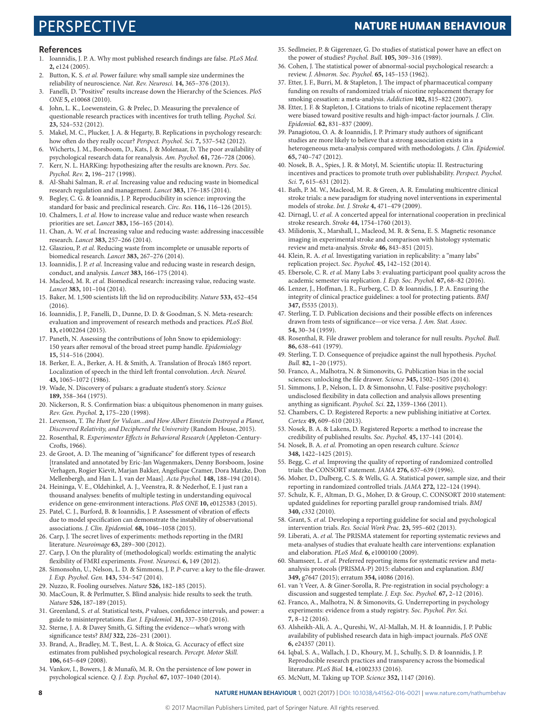# PERSPECTIVE **NATURE HUMAN BEHAVIOUR**

#### **References**

- 1. Ioannidis, J. P. A. Why most published research findings are false. *PLoS Med.* **2,** e124 (2005).
- 2. Button, K. S. *et al.* Power failure: why small sample size undermines the reliability of neuroscience. *Nat. Rev. Neurosci.* **14,** 365–376 (2013).
- 3. Fanelli, D. "Positive" results increase down the Hierarchy of the Sciences. *PloS ONE* **5,** e10068 (2010).
- 4. John, L. K., Loewenstein, G. & Prelec, D. Measuring the prevalence of questionable research practices with incentives for truth telling. *Psychol. Sci.* **23,** 524–532 (2012).
- 5. Makel, M. C., Plucker, J. A. & Hegarty, B. Replications in psychology research: how often do they really occur? *Perspect. Psychol. Sci.* **7,** 537–542 (2012).
- 6. Wicherts, J. M., Borsboom, D., Kats, J. & Molenaar, D. The poor availability of psychological research data for reanalysis. *Am. Psychol.* **61,** 726–728 (2006).
- 7. Kerr, N. L. HARKing: hypothesizing after the results are known. *Pers. Soc. Psychol. Rev.* **2,** 196–217 (1998).
- 8. Al-Shahi Salman, R. *et al.* Increasing value and reducing waste in biomedical research regulation and management. *Lancet* **383,** 176–185 (2014).
- 9. Begley, C. G. & Ioannidis, J. P. Reproducibility in science: improving the standard for basic and preclinical research. *Circ. Res.* **116,** 116–126 (2015).
- 10. Chalmers, I. *et al.* How to increase value and reduce waste when research priorities are set. *Lancet* **383,** 156–165 (2014).
- 11. Chan, A. W. *et al.* Increasing value and reducing waste: addressing inaccessible research. *Lancet* **383,** 257–266 (2014).
- 12. Glasziou, P. *et al.* Reducing waste from incomplete or unusable reports of biomedical research. *Lancet* **383,** 267–276 (2014).
- 13. Ioannidis, J. P. *et al.* Increasing value and reducing waste in research design, conduct, and analysis. *Lancet* **383,** 166–175 (2014).
- 14. Macleod, M. R. *et al.* Biomedical research: increasing value, reducing waste. *Lancet* **383,** 101–104 (2014).
- 15. Baker, M. 1,500 scientists lift the lid on reproducibility. *Nature* **533,** 452–454  $(2016)$
- 16. Ioannidis, J. P., Fanelli, D., Dunne, D. D. & Goodman, S. N. Meta-research: evaluation and improvement of research methods and practices. *PLoS Biol.* **13,** e1002264 (2015).
- 17. Paneth, N. Assessing the contributions of John Snow to epidemiology: 150 years after removal of the broad street pump handle. *Epidemiology* **15,** 514–516 (2004).
- 18. Berker, E. A., Berker, A. H. & Smith, A. Translation of Broca's 1865 report. Localization of speech in the third left frontal convolution. *Arch. Neurol.* **43,** 1065–1072 (1986).
- 19. Wade, N. Discovery of pulsars: a graduate student's story. *Science* **189,** 358–364 (1975).
- 20. Nickerson, R. S. Confirmation bias: a ubiquitous phenomenon in many guises. *Rev. Gen. Psychol.* **2,** 175–220 (1998).
- 21. Levenson, T. *The Hunt for Vulcan...and How Albert Einstein Destroyed a Planet, Discovered Relativity, and Deciphered the University* (Random House, 2015).
- 22. Rosenthal, R. *Experimenter Effects in Behavioral Research* (Appleton-Century-Crofts, 1966).
- 23. de Groot, A. D. The meaning of "significance" for different types of research [translated and annotated by Eric-Jan Wagenmakers, Denny Borsboom, Josine Verhagen, Rogier Kievit, Marjan Bakker, Angelique Cramer, Dora Matzke, Don Mellenbergh, and Han L. J. van der Maas]. *Acta Psychol.* **148,** 188–194 (2014).
- 24. Heininga, V. E., Oldehinkel, A. J., Veenstra, R. & Nederhof, E. I just ran a thousand analyses: benefits of multiple testing in understanding equivocal evidence on gene-environment interactions. *PloS ONE* **10,** e0125383 (2015).
- 25. Patel, C. J., Burford, B. & Ioannidis, J. P. Assessment of vibration of effects due to model specification can demonstrate the instability of observational associations. *J. Clin. Epidemiol.* **68,** 1046–1058 (2015).
- 26. Carp, J. The secret lives of experiments: methods reporting in the fMRI literature. *Neuroimage* **63,** 289–300 (2012).
- 27. Carp, J. On the plurality of (methodological) worlds: estimating the analytic flexibility of FMRI experiments. *Front. Neurosci.* **6,** 149 (2012).
- 28. Simonsohn, U., Nelson, L. D. & Simmons, J. P. *P*-curve: a key to the file-drawer. *J. Exp. Psychol. Gen.* **143,** 534–547 (2014).
- 29. Nuzzo, R. Fooling ourselves. *Nature* **526,** 182–185 (2015).
- 30. MacCoun, R. & Perlmutter, S. Blind analysis: hide results to seek the truth. *Nature* **526,** 187–189 (2015).
- 31. Greenland, S. *et al.* Statistical tests, *P* values, confidence intervals, and power: a guide to misinterpretations. *Eur. J. Epidemiol.* **31,** 337–350 (2016).
- 32. Sterne, J. A. & Davey Smith, G. Sifting the evidence—what's wrong with significance tests? *BMJ* **322,** 226–231 (2001).
- 33. Brand, A., Bradley, M. T., Best, L. A. & Stoica, G. Accuracy of effect size estimates from published psychological research. *Percept. Motor Skill.* **106,** 645–649 (2008).
- 34. Vankov, I., Bowers, J. & Munafò, M. R. On the persistence of low power in psychological science. *Q. J. Exp. Psychol.* **67,** 1037–1040 (2014).
- 35. Sedlmeier, P. & Gigerenzer, G. Do studies of statistical power have an effect on the power of studies? *Psychol. Bull.* **105,** 309–316 (1989).
- 36. Cohen, J. The statistical power of abnormal-social psychological research: a review. *J. Abnorm. Soc. Psychol.* **65,** 145–153 (1962).
- 37. Etter, J. F., Burri, M. & Stapleton, J. The impact of pharmaceutical company funding on results of randomized trials of nicotine replacement therapy for smoking cessation: a meta-analysis. *Addiction* **102,** 815–822 (2007).
- 38. Etter, J. F. & Stapleton, J. Citations to trials of nicotine replacement therapy were biased toward positive results and high-impact-factor journals. *J. Clin. Epidemiol.* **62,** 831–837 (2009).
- 39. Panagiotou, O. A. & Ioannidis, J. P. Primary study authors of significant studies are more likely to believe that a strong association exists in a heterogeneous meta-analysis compared with methodologists. *J. Clin. Epidemiol.* **65,** 740–747 (2012).
- 40. Nosek, B. A., Spies, J. R. & Motyl, M. Scientific utopia: II. Restructuring incentives and practices to promote truth over publishability. *Perspect. Psychol. Sci.* **7,** 615–631 (2012).
- 41. Bath, P. M. W., Macleod, M. R. & Green, A. R. Emulating multicentre clinical stroke trials: a new paradigm for studying novel interventions in experimental models of stroke. *Int. J. Stroke* **4,** 471–479 (2009).
- 42. Dirnagl, U. *et al.* A concerted appeal for international cooperation in preclinical stroke research. *Stroke* **44,** 1754–1760 (2013).
- 43. Milidonis, X., Marshall, I., Macleod, M. R. & Sena, E. S. Magnetic resonance imaging in experimental stroke and comparison with histology systematic review and meta-analysis. *Stroke* **46,** 843–851 (2015).
- 44. Klein, R. A. *et al.* Investigating variation in replicability: a "many labs" replication project. *Soc. Psychol.* **45,** 142–152 (2014).
- 45. Ebersole, C. R. *et al.* Many Labs 3: evaluating participant pool quality across the academic semester via replication. *J. Exp. Soc. Psychol.* **67,** 68–82 (2016).
- 46. Lenzer, J., Hoffman, J. R., Furberg, C. D. & Ioannidis, J. P. A. Ensuring the integrity of clinical practice guidelines: a tool for protecting patients. *BMJ* **347,** f5535 (2013).
- 47. Sterling, T. D. Publication decisions and their possible effects on inferences drawn from tests of significance—or vice versa. *J. Am. Stat. Assoc.* **54,** 30–34 (1959).
- 48. Rosenthal, R. File drawer problem and tolerance for null results. *Psychol. Bull.* **86,** 638–641 (1979).
- 49. Sterling, T. D. Consequence of prejudice against the null hypothesis. *Psychol. Bull.* **82,** 1–20 (1975).
- 50. Franco, A., Malhotra, N. & Simonovits, G. Publication bias in the social sciences: unlocking the file drawer. *Science* **345,** 1502–1505 (2014).
- 51. Simmons, J. P., Nelson, L. D. & Simonsohn, U. False-positive psychology: undisclosed flexibility in data collection and analysis allows presenting anything as significant. *Psychol. Sci.* **22,** 1359–1366 (2011).
- 52. Chambers, C. D. Registered Reports: a new publishing initiative at Cortex. *Cortex* **49,** 609–610 (2013).
- 53. Nosek, B. A. & Lakens, D. Registered Reports: a method to increase the credibility of published results. *Soc. Psychol.* **45,** 137–141 (2014).
- 54. Nosek, B. A. *et al.* Promoting an open research culture. *Science* **348,** 1422–1425 (2015).
- 55. Begg, C. *et al.* Improving the quality of reporting of randomized controlled trials: the CONSORT statement. *JAMA* **276,** 637–639 (1996).
- 56. Moher, D., Dulberg, C. S. & Wells, G. A. Statistical power, sample size, and their reporting in randomized controlled trials. *JAMA* **272,** 122–124 (1994).
- 57. Schulz, K. F., Altman, D. G., Moher, D. & Group, C. CONSORT 2010 statement: updated guidelines for reporting parallel group randomised trials. *BMJ* **340,** c332 (2010).
- 58. Grant, S. *et al.* Developing a reporting guideline for social and psychological intervention trials. *Res. Social Work Prac.* **23,** 595–602 (2013).
- 59. Liberati, A. *et al.* The PRISMA statement for reporting systematic reviews and meta-analyses of studies that evaluate health care interventions: explanation and elaboration. *PLoS Med.* **6,** e1000100 (2009).
- 60. Shamseer, L. *et al.* Preferred reporting items for systematic review and metaanalysis protocols (PRISMA-P) 2015: elaboration and explanation. *BMJ* **349,** g7647 (2015); erratum **354,** i4086 (2016).
- 61. van 't Veer, A. & Giner-Sorolla, R. Pre-registration in social psychology: a discussion and suggested template. *J. Exp. Soc. Psychol.* **67,** 2–12 (2016).
- 62. Franco, A., Malhotra, N. & Simonovits, G. Underreporting in psychology experiments: evidence from a study registry. *Soc. Psychol. Per. Sci.* **7,** 8–12 (2016).
- 63. Alsheikh-Ali, A. A., Qureshi, W., Al-Mallah, M. H. & Ioannidis, J. P. Public availability of published research data in high-impact journals. *PloS ONE* **6,** e24357 (2011).
- 64. Iqbal, S. A., Wallach, J. D., Khoury, M. J., Schully, S. D. & Ioannidis, J. P. Reproducible research practices and transparency across the biomedical literature. *PLoS Biol.* **14**, e1002333 (2016).
- 65. McNutt, M. Taking up TOP. *Science* **352,** 1147 (2016).